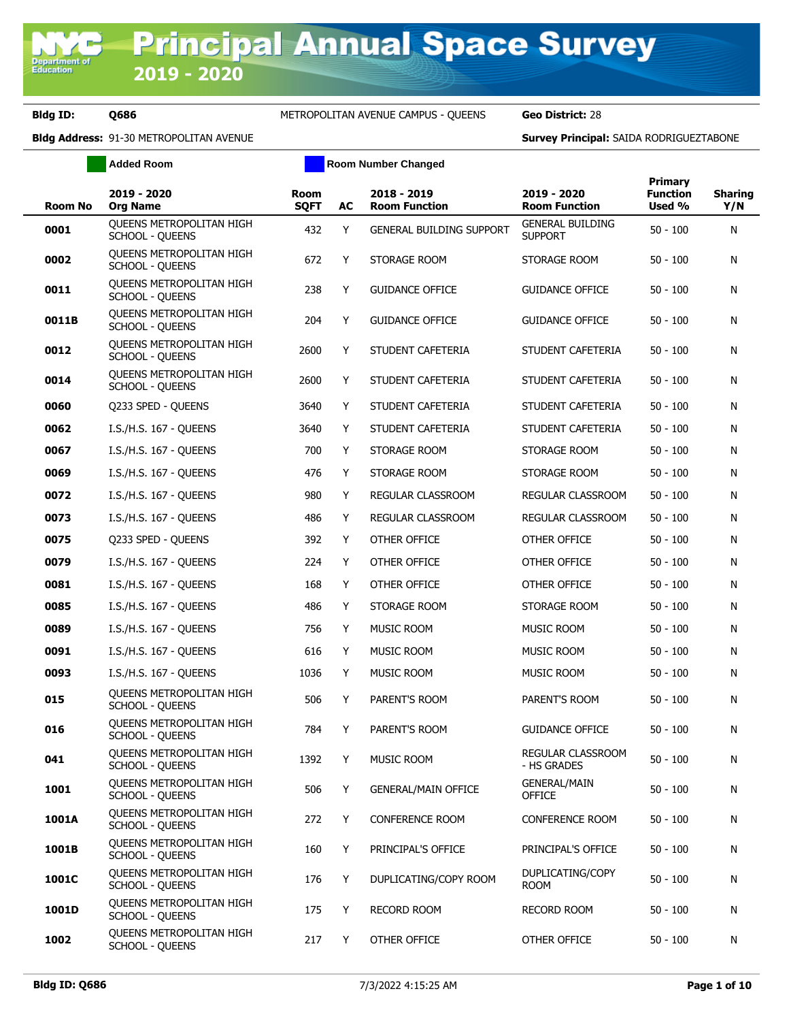Department of<br>Education

**Bldg ID: Q686** METROPOLITAN AVENUE CAMPUS - QUEENS **Geo District:** 28

|         | <b>Added Room</b>                                         | <b>Room Number Changed</b> |    |                                     |                                           |                                      |                       |
|---------|-----------------------------------------------------------|----------------------------|----|-------------------------------------|-------------------------------------------|--------------------------------------|-----------------------|
| Room No | 2019 - 2020<br><b>Org Name</b>                            | Room<br><b>SQFT</b>        | AC | 2018 - 2019<br><b>Room Function</b> | 2019 - 2020<br><b>Room Function</b>       | Primary<br><b>Function</b><br>Used % | <b>Sharing</b><br>Y/N |
| 0001    | <b>OUEENS METROPOLITAN HIGH</b><br><b>SCHOOL - QUEENS</b> | 432                        | Y  | <b>GENERAL BUILDING SUPPORT</b>     | <b>GENERAL BUILDING</b><br><b>SUPPORT</b> | $50 - 100$                           | N                     |
| 0002    | QUEENS METROPOLITAN HIGH<br><b>SCHOOL - QUEENS</b>        | 672                        | Y  | STORAGE ROOM                        | STORAGE ROOM                              | $50 - 100$                           | N                     |
| 0011    | <b>OUEENS METROPOLITAN HIGH</b><br><b>SCHOOL - QUEENS</b> | 238                        | Y  | <b>GUIDANCE OFFICE</b>              | <b>GUIDANCE OFFICE</b>                    | $50 - 100$                           | N                     |
| 0011B   | QUEENS METROPOLITAN HIGH<br><b>SCHOOL - QUEENS</b>        | 204                        | Y  | <b>GUIDANCE OFFICE</b>              | <b>GUIDANCE OFFICE</b>                    | $50 - 100$                           | N                     |
| 0012    | QUEENS METROPOLITAN HIGH<br><b>SCHOOL - QUEENS</b>        | 2600                       | Y  | STUDENT CAFETERIA                   | STUDENT CAFETERIA                         | $50 - 100$                           | N                     |
| 0014    | <b>OUEENS METROPOLITAN HIGH</b><br><b>SCHOOL - QUEENS</b> | 2600                       | Y  | STUDENT CAFETERIA                   | STUDENT CAFETERIA                         | $50 - 100$                           | N                     |
| 0060    | Q233 SPED - QUEENS                                        | 3640                       | Y  | STUDENT CAFETERIA                   | STUDENT CAFETERIA                         | $50 - 100$                           | N                     |
| 0062    | I.S./H.S. 167 - QUEENS                                    | 3640                       | Y  | STUDENT CAFETERIA                   | STUDENT CAFETERIA                         | $50 - 100$                           | N                     |
| 0067    | I.S./H.S. 167 - OUEENS                                    | 700                        | Y  | STORAGE ROOM                        | STORAGE ROOM                              | $50 - 100$                           | N                     |
| 0069    | I.S./H.S. 167 - OUEENS                                    | 476                        | Y  | STORAGE ROOM                        | STORAGE ROOM                              | $50 - 100$                           | N                     |
| 0072    | I.S./H.S. 167 - QUEENS                                    | 980                        | Y  | REGULAR CLASSROOM                   | REGULAR CLASSROOM                         | $50 - 100$                           | N                     |
| 0073    | I.S./H.S. 167 - OUEENS                                    | 486                        | Y  | REGULAR CLASSROOM                   | REGULAR CLASSROOM                         | $50 - 100$                           | N                     |
| 0075    | Q233 SPED - QUEENS                                        | 392                        | Y  | OTHER OFFICE                        | OTHER OFFICE                              | $50 - 100$                           | N                     |
| 0079    | I.S./H.S. 167 - QUEENS                                    | 224                        | Y  | OTHER OFFICE                        | OTHER OFFICE                              | $50 - 100$                           | N                     |
| 0081    | I.S./H.S. 167 - QUEENS                                    | 168                        | Y  | OTHER OFFICE                        | OTHER OFFICE                              | $50 - 100$                           | N                     |
| 0085    | I.S./H.S. 167 - QUEENS                                    | 486                        | Y  | STORAGE ROOM                        | STORAGE ROOM                              | $50 - 100$                           | N                     |
| 0089    | I.S./H.S. 167 - QUEENS                                    | 756                        | Y  | MUSIC ROOM                          | MUSIC ROOM                                | $50 - 100$                           | N                     |
| 0091    | I.S./H.S. 167 - QUEENS                                    | 616                        | Y  | <b>MUSIC ROOM</b>                   | MUSIC ROOM                                | $50 - 100$                           | N                     |
| 0093    | I.S./H.S. 167 - OUEENS                                    | 1036                       | Y  | MUSIC ROOM                          | MUSIC ROOM                                | $50 - 100$                           | N                     |
| 015     | <b>OUEENS METROPOLITAN HIGH</b><br>SCHOOL - QUEENS        | 506                        | Y  | PARENT'S ROOM                       | PARENT'S ROOM                             | $50 - 100$                           | N                     |
| 016     | QUEENS METROPOLITAN HIGH<br><b>SCHOOL - QUEENS</b>        | 784                        | Y  | PARENT'S ROOM                       | <b>GUIDANCE OFFICE</b>                    | $50 - 100$                           | N                     |
| 041     | QUEENS METROPOLITAN HIGH<br><b>SCHOOL - QUEENS</b>        | 1392                       | Y  | MUSIC ROOM                          | REGULAR CLASSROOM<br>- HS GRADES          | $50 - 100$                           | N                     |
| 1001    | QUEENS METROPOLITAN HIGH<br><b>SCHOOL - QUEENS</b>        | 506                        | Y  | <b>GENERAL/MAIN OFFICE</b>          | <b>GENERAL/MAIN</b><br><b>OFFICE</b>      | $50 - 100$                           | N                     |
| 1001A   | QUEENS METROPOLITAN HIGH<br><b>SCHOOL - QUEENS</b>        | 272                        | Y  | <b>CONFERENCE ROOM</b>              | <b>CONFERENCE ROOM</b>                    | $50 - 100$                           | N                     |
| 1001B   | QUEENS METROPOLITAN HIGH<br>SCHOOL - QUEENS               | 160                        | Y  | PRINCIPAL'S OFFICE                  | PRINCIPAL'S OFFICE                        | $50 - 100$                           | N                     |
| 1001C   | QUEENS METROPOLITAN HIGH<br><b>SCHOOL - QUEENS</b>        | 176                        | Y  | DUPLICATING/COPY ROOM               | DUPLICATING/COPY<br>ROOM                  | $50 - 100$                           | N                     |
| 1001D   | QUEENS METROPOLITAN HIGH<br><b>SCHOOL - QUEENS</b>        | 175                        | Y  | RECORD ROOM                         | <b>RECORD ROOM</b>                        | $50 - 100$                           | N                     |
| 1002    | QUEENS METROPOLITAN HIGH<br>SCHOOL - QUEENS               | 217                        | Y  | OTHER OFFICE                        | OTHER OFFICE                              | $50 - 100$                           | N                     |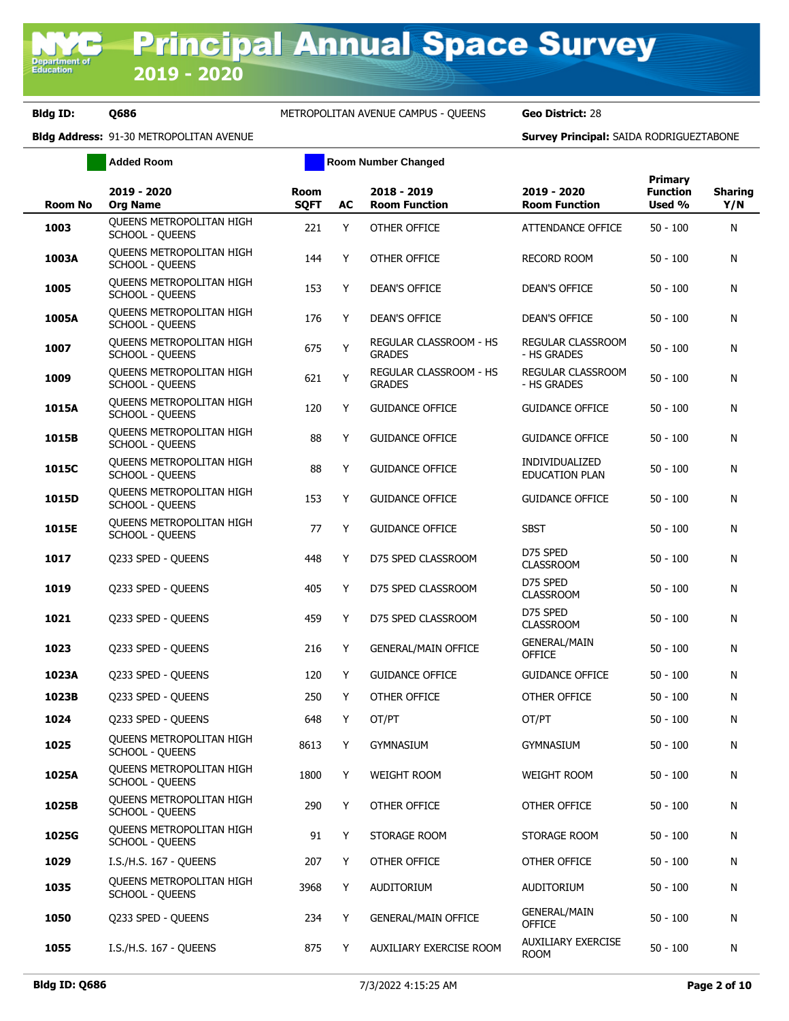|                | <b>Added Room</b>                                         |                            |    | <b>Room Number Changed</b>              |                                          |                                             |                       |
|----------------|-----------------------------------------------------------|----------------------------|----|-----------------------------------------|------------------------------------------|---------------------------------------------|-----------------------|
| <b>Room No</b> | 2019 - 2020<br><b>Org Name</b>                            | <b>Room</b><br><b>SQFT</b> | AC | 2018 - 2019<br><b>Room Function</b>     | 2019 - 2020<br><b>Room Function</b>      | <b>Primary</b><br><b>Function</b><br>Used % | <b>Sharing</b><br>Y/N |
| 1003           | <b>OUEENS METROPOLITAN HIGH</b><br><b>SCHOOL - QUEENS</b> | 221                        | Y  | OTHER OFFICE                            | ATTENDANCE OFFICE                        | $50 - 100$                                  | N                     |
| 1003A          | QUEENS METROPOLITAN HIGH<br><b>SCHOOL - QUEENS</b>        | 144                        | Y  | OTHER OFFICE                            | <b>RECORD ROOM</b>                       | $50 - 100$                                  | N                     |
| 1005           | <b>OUEENS METROPOLITAN HIGH</b><br><b>SCHOOL - QUEENS</b> | 153                        | Y  | <b>DEAN'S OFFICE</b>                    | <b>DEAN'S OFFICE</b>                     | $50 - 100$                                  | N                     |
| 1005A          | QUEENS METROPOLITAN HIGH<br><b>SCHOOL - QUEENS</b>        | 176                        | Y  | <b>DEAN'S OFFICE</b>                    | <b>DEAN'S OFFICE</b>                     | $50 - 100$                                  | N                     |
| 1007           | <b>OUEENS METROPOLITAN HIGH</b><br><b>SCHOOL - QUEENS</b> | 675                        | Y  | REGULAR CLASSROOM - HS<br><b>GRADES</b> | REGULAR CLASSROOM<br>- HS GRADES         | $50 - 100$                                  | N                     |
| 1009           | QUEENS METROPOLITAN HIGH<br><b>SCHOOL - QUEENS</b>        | 621                        | Υ  | REGULAR CLASSROOM - HS<br><b>GRADES</b> | REGULAR CLASSROOM<br>- HS GRADES         | $50 - 100$                                  | N                     |
| 1015A          | QUEENS METROPOLITAN HIGH<br><b>SCHOOL - QUEENS</b>        | 120                        | Y  | <b>GUIDANCE OFFICE</b>                  | <b>GUIDANCE OFFICE</b>                   | $50 - 100$                                  | N                     |
| 1015B          | QUEENS METROPOLITAN HIGH<br>SCHOOL - QUEENS               | 88                         | Y  | <b>GUIDANCE OFFICE</b>                  | <b>GUIDANCE OFFICE</b>                   | $50 - 100$                                  | N                     |
| 1015C          | QUEENS METROPOLITAN HIGH<br><b>SCHOOL - QUEENS</b>        | 88                         | Y  | <b>GUIDANCE OFFICE</b>                  | INDIVIDUALIZED<br><b>EDUCATION PLAN</b>  | $50 - 100$                                  | N                     |
| 1015D          | <b>OUEENS METROPOLITAN HIGH</b><br><b>SCHOOL - QUEENS</b> | 153                        | Y  | <b>GUIDANCE OFFICE</b>                  | <b>GUIDANCE OFFICE</b>                   | $50 - 100$                                  | N                     |
| 1015E          | QUEENS METROPOLITAN HIGH<br>SCHOOL - QUEENS               | 77                         | Y  | <b>GUIDANCE OFFICE</b>                  | <b>SBST</b>                              | $50 - 100$                                  | N                     |
| 1017           | Q233 SPED - QUEENS                                        | 448                        | Y  | D75 SPED CLASSROOM                      | D75 SPED<br><b>CLASSROOM</b>             | $50 - 100$                                  | N                     |
| 1019           | Q233 SPED - QUEENS                                        | 405                        | Y  | D75 SPED CLASSROOM                      | D75 SPED<br><b>CLASSROOM</b>             | $50 - 100$                                  | N                     |
| 1021           | Q233 SPED - QUEENS                                        | 459                        | Y  | D75 SPED CLASSROOM                      | D75 SPED<br><b>CLASSROOM</b>             | $50 - 100$                                  | N                     |
| 1023           | Q233 SPED - QUEENS                                        | 216                        | Y  | <b>GENERAL/MAIN OFFICE</b>              | <b>GENERAL/MAIN</b><br><b>OFFICE</b>     | $50 - 100$                                  | N                     |
| 1023A          | Q233 SPED - QUEENS                                        | 120                        | Y  | <b>GUIDANCE OFFICE</b>                  | <b>GUIDANCE OFFICE</b>                   | $50 - 100$                                  | N                     |
| 1023B          | Q233 SPED - QUEENS                                        | 250                        | Y  | OTHER OFFICE                            | OTHER OFFICE                             | $50 - 100$                                  | N                     |
| 1024           | Q233 SPED - QUEENS                                        | 648                        | Y  | OT/PT                                   | OT/PT                                    | $50 - 100$                                  | N                     |
| 1025           | QUEENS METROPOLITAN HIGH<br><b>SCHOOL - QUEENS</b>        | 8613                       | Y  | <b>GYMNASIUM</b>                        | gymnasium                                | $50 - 100$                                  | N                     |
| 1025A          | QUEENS METROPOLITAN HIGH<br><b>SCHOOL - QUEENS</b>        | 1800                       | Y  | <b>WEIGHT ROOM</b>                      | <b>WEIGHT ROOM</b>                       | $50 - 100$                                  | N                     |
| 1025B          | QUEENS METROPOLITAN HIGH<br><b>SCHOOL - QUEENS</b>        | 290                        | Y  | OTHER OFFICE                            | OTHER OFFICE                             | $50 - 100$                                  | N                     |
| 1025G          | <b>OUEENS METROPOLITAN HIGH</b><br><b>SCHOOL - QUEENS</b> | 91                         | Y  | STORAGE ROOM                            | STORAGE ROOM                             | $50 - 100$                                  | N                     |
| 1029           | I.S./H.S. 167 - QUEENS                                    | 207                        | Y  | OTHER OFFICE                            | OTHER OFFICE                             | $50 - 100$                                  | N                     |
| 1035           | <b>OUEENS METROPOLITAN HIGH</b><br><b>SCHOOL - QUEENS</b> | 3968                       | Y  | AUDITORIUM                              | AUDITORIUM                               | $50 - 100$                                  | N                     |
| 1050           | Q233 SPED - QUEENS                                        | 234                        | Y  | <b>GENERAL/MAIN OFFICE</b>              | <b>GENERAL/MAIN</b><br>OFFICE            | $50 - 100$                                  | N                     |
| 1055           | I.S./H.S. 167 - QUEENS                                    | 875                        | Y  | AUXILIARY EXERCISE ROOM                 | <b>AUXILIARY EXERCISE</b><br><b>ROOM</b> | $50 - 100$                                  | N                     |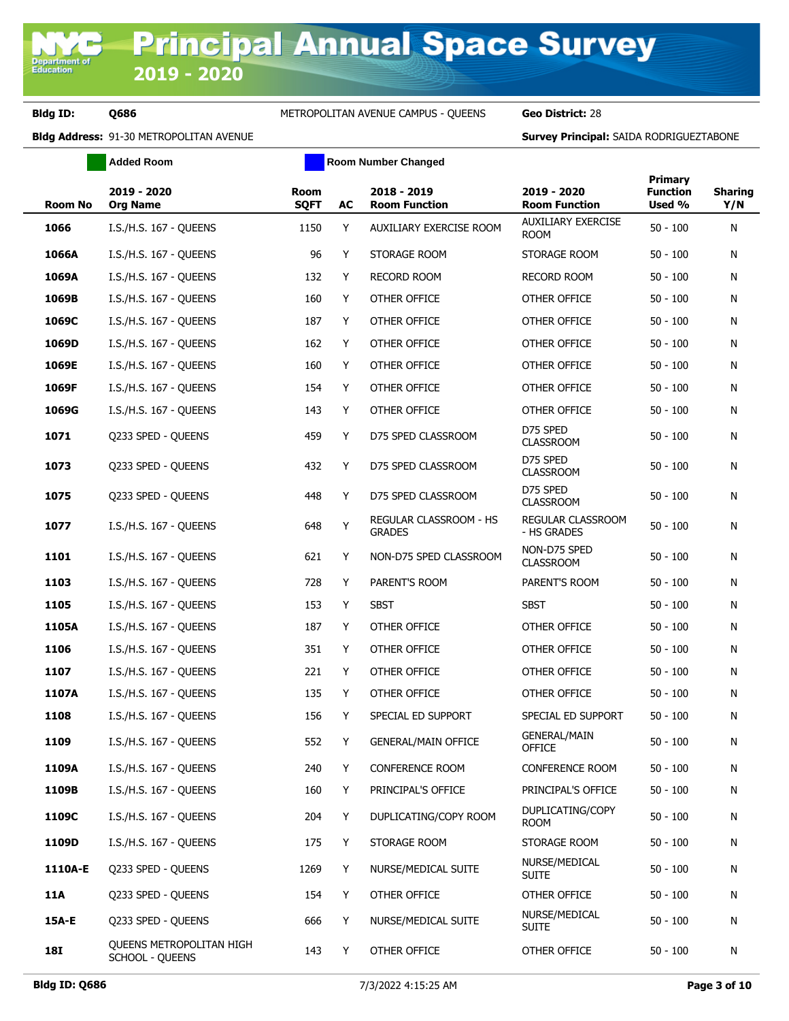|            | <b>Added Room</b>                                  |                     |    | <b>Room Number Changed</b>              |                                          |                                             |                       |
|------------|----------------------------------------------------|---------------------|----|-----------------------------------------|------------------------------------------|---------------------------------------------|-----------------------|
| Room No    | 2019 - 2020<br><b>Org Name</b>                     | Room<br><b>SQFT</b> | AC | 2018 - 2019<br><b>Room Function</b>     | 2019 - 2020<br><b>Room Function</b>      | <b>Primary</b><br><b>Function</b><br>Used % | <b>Sharing</b><br>Y/N |
| 1066       | I.S./H.S. 167 - QUEENS                             | 1150                | Y  | AUXILIARY EXERCISE ROOM                 | <b>AUXILIARY EXERCISE</b><br><b>ROOM</b> | $50 - 100$                                  | Ν                     |
| 1066A      | I.S./H.S. 167 - QUEENS                             | 96                  | Y  | STORAGE ROOM                            | STORAGE ROOM                             | $50 - 100$                                  | N                     |
| 1069A      | I.S./H.S. 167 - QUEENS                             | 132                 | Y  | <b>RECORD ROOM</b>                      | <b>RECORD ROOM</b>                       | $50 - 100$                                  | N                     |
| 1069B      | I.S./H.S. 167 - QUEENS                             | 160                 | Y  | OTHER OFFICE                            | OTHER OFFICE                             | $50 - 100$                                  | N                     |
| 1069C      | I.S./H.S. 167 - QUEENS                             | 187                 | Y  | OTHER OFFICE                            | OTHER OFFICE                             | $50 - 100$                                  | N                     |
| 1069D      | I.S./H.S. 167 - QUEENS                             | 162                 | Y  | OTHER OFFICE                            | OTHER OFFICE                             | $50 - 100$                                  | Ν                     |
| 1069E      | I.S./H.S. 167 - QUEENS                             | 160                 | Y  | OTHER OFFICE                            | OTHER OFFICE                             | $50 - 100$                                  | Ν                     |
| 1069F      | I.S./H.S. 167 - QUEENS                             | 154                 | Y  | OTHER OFFICE                            | OTHER OFFICE                             | $50 - 100$                                  | N                     |
| 1069G      | I.S./H.S. 167 - QUEENS                             | 143                 | Y  | OTHER OFFICE                            | OTHER OFFICE                             | $50 - 100$                                  | N                     |
| 1071       | Q233 SPED - QUEENS                                 | 459                 | Y  | D75 SPED CLASSROOM                      | D75 SPED<br><b>CLASSROOM</b>             | $50 - 100$                                  | Ν                     |
| 1073       | Q233 SPED - QUEENS                                 | 432                 | Y  | D75 SPED CLASSROOM                      | D75 SPED<br><b>CLASSROOM</b>             | $50 - 100$                                  | N                     |
| 1075       | Q233 SPED - QUEENS                                 | 448                 | Y  | D75 SPED CLASSROOM                      | D75 SPED<br><b>CLASSROOM</b>             | $50 - 100$                                  | Ν                     |
| 1077       | I.S./H.S. 167 - QUEENS                             | 648                 | Y  | REGULAR CLASSROOM - HS<br><b>GRADES</b> | REGULAR CLASSROOM<br>- HS GRADES         | $50 - 100$                                  | N                     |
| 1101       | I.S./H.S. 167 - QUEENS                             | 621                 | Y  | NON-D75 SPED CLASSROOM                  | NON-D75 SPED<br><b>CLASSROOM</b>         | $50 - 100$                                  | N                     |
| 1103       | I.S./H.S. 167 - QUEENS                             | 728                 | Y  | PARENT'S ROOM                           | PARENT'S ROOM                            | $50 - 100$                                  | N                     |
| 1105       | I.S./H.S. 167 - QUEENS                             | 153                 | Y  | <b>SBST</b>                             | <b>SBST</b>                              | $50 - 100$                                  | Ν                     |
| 1105A      | I.S./H.S. 167 - QUEENS                             | 187                 | Y  | OTHER OFFICE                            | OTHER OFFICE                             | $50 - 100$                                  | Ν                     |
| 1106       | I.S./H.S. 167 - QUEENS                             | 351                 | Y  | OTHER OFFICE                            | OTHER OFFICE                             | $50 - 100$                                  | N                     |
| 1107       | I.S./H.S. 167 - QUEENS                             | 221                 | Y  | OTHER OFFICE                            | OTHER OFFICE                             | $50 - 100$                                  | Ν                     |
| 1107A      | I.S./H.S. 167 - QUEENS                             | 135                 | Y  | OTHER OFFICE                            | OTHER OFFICE                             | $50 - 100$                                  | Ν                     |
| 1108       | I.S./H.S. 167 - QUEENS                             | 156                 | Y  | SPECIAL ED SUPPORT                      | SPECIAL ED SUPPORT                       | $50 - 100$                                  | Ν                     |
| 1109       | I.S./H.S. 167 - QUEENS                             | 552                 | Y  | <b>GENERAL/MAIN OFFICE</b>              | <b>GENERAL/MAIN</b><br><b>OFFICE</b>     | $50 - 100$                                  | N                     |
| 1109A      | I.S./H.S. 167 - QUEENS                             | 240                 | Y  | <b>CONFERENCE ROOM</b>                  | CONFERENCE ROOM                          | $50 - 100$                                  | Ν                     |
| 1109B      | I.S./H.S. 167 - QUEENS                             | 160                 | Y  | PRINCIPAL'S OFFICE                      | PRINCIPAL'S OFFICE                       | $50 - 100$                                  | Ν                     |
| 1109C      | I.S./H.S. 167 - QUEENS                             | 204                 | Y  | DUPLICATING/COPY ROOM                   | DUPLICATING/COPY<br><b>ROOM</b>          | $50 - 100$                                  | Ν                     |
| 1109D      | I.S./H.S. 167 - QUEENS                             | 175                 | Y  | STORAGE ROOM                            | STORAGE ROOM                             | $50 - 100$                                  | Ν                     |
| 1110A-E    | Q233 SPED - QUEENS                                 | 1269                | Y  | NURSE/MEDICAL SUITE                     | NURSE/MEDICAL<br><b>SUITE</b>            | $50 - 100$                                  | Ν                     |
| <b>11A</b> | Q233 SPED - QUEENS                                 | 154                 | Y  | OTHER OFFICE                            | OTHER OFFICE                             | $50 - 100$                                  | Ν                     |
| 15A-E      | Q233 SPED - QUEENS                                 | 666                 | Y  | NURSE/MEDICAL SUITE                     | NURSE/MEDICAL<br><b>SUITE</b>            | $50 - 100$                                  | Ν                     |
| <b>18I</b> | <b>OUEENS METROPOLITAN HIGH</b><br>SCHOOL - QUEENS | 143                 | Y  | OTHER OFFICE                            | OTHER OFFICE                             | $50 - 100$                                  | N                     |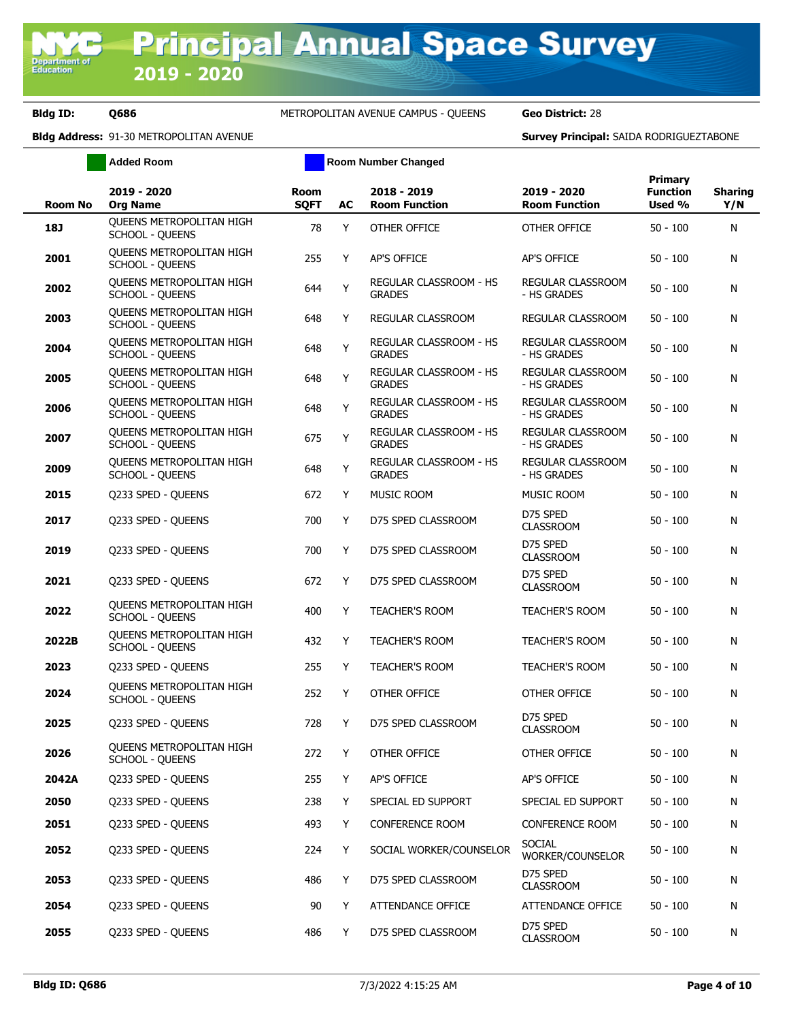|                | <b>Added Room</b>                                         |                            |    | <b>Room Number Changed</b>              |                                     |                                      |                       |
|----------------|-----------------------------------------------------------|----------------------------|----|-----------------------------------------|-------------------------------------|--------------------------------------|-----------------------|
| <b>Room No</b> | 2019 - 2020<br><b>Org Name</b>                            | <b>Room</b><br><b>SQFT</b> | AC | 2018 - 2019<br><b>Room Function</b>     | 2019 - 2020<br><b>Room Function</b> | Primary<br><b>Function</b><br>Used % | <b>Sharing</b><br>Y/N |
| 18J            | <b>OUEENS METROPOLITAN HIGH</b><br><b>SCHOOL - QUEENS</b> | 78                         | Y  | OTHER OFFICE                            | OTHER OFFICE                        | $50 - 100$                           | N                     |
| 2001           | QUEENS METROPOLITAN HIGH<br><b>SCHOOL - QUEENS</b>        | 255                        | Y  | <b>AP'S OFFICE</b>                      | AP'S OFFICE                         | $50 - 100$                           | N                     |
| 2002           | <b>OUEENS METROPOLITAN HIGH</b><br><b>SCHOOL - QUEENS</b> | 644                        | Υ  | REGULAR CLASSROOM - HS<br><b>GRADES</b> | REGULAR CLASSROOM<br>- HS GRADES    | $50 - 100$                           | N                     |
| 2003           | QUEENS METROPOLITAN HIGH<br>SCHOOL - QUEENS               | 648                        | Y  | <b>REGULAR CLASSROOM</b>                | REGULAR CLASSROOM                   | $50 - 100$                           | Ν                     |
| 2004           | <b>OUEENS METROPOLITAN HIGH</b><br><b>SCHOOL - QUEENS</b> | 648                        | Y  | REGULAR CLASSROOM - HS<br><b>GRADES</b> | REGULAR CLASSROOM<br>- HS GRADES    | $50 - 100$                           | N                     |
| 2005           | <b>OUEENS METROPOLITAN HIGH</b><br><b>SCHOOL - QUEENS</b> | 648                        | Υ  | REGULAR CLASSROOM - HS<br><b>GRADES</b> | REGULAR CLASSROOM<br>- HS GRADES    | $50 - 100$                           | N                     |
| 2006           | <b>OUEENS METROPOLITAN HIGH</b><br><b>SCHOOL - QUEENS</b> | 648                        | Υ  | REGULAR CLASSROOM - HS<br><b>GRADES</b> | REGULAR CLASSROOM<br>- HS GRADES    | $50 - 100$                           | Ν                     |
| 2007           | <b>OUEENS METROPOLITAN HIGH</b><br>SCHOOL - QUEENS        | 675                        | Υ  | REGULAR CLASSROOM - HS<br><b>GRADES</b> | REGULAR CLASSROOM<br>- HS GRADES    | $50 - 100$                           | Ν                     |
| 2009           | <b>OUEENS METROPOLITAN HIGH</b><br><b>SCHOOL - QUEENS</b> | 648                        | Υ  | REGULAR CLASSROOM - HS<br><b>GRADES</b> | REGULAR CLASSROOM<br>- HS GRADES    | $50 - 100$                           | N                     |
| 2015           | Q233 SPED - QUEENS                                        | 672                        | Υ  | MUSIC ROOM                              | MUSIC ROOM                          | $50 - 100$                           | N                     |
| 2017           | Q233 SPED - QUEENS                                        | 700                        | Υ  | D75 SPED CLASSROOM                      | D75 SPED<br><b>CLASSROOM</b>        | $50 - 100$                           | Ν                     |
| 2019           | Q233 SPED - QUEENS                                        | 700                        | Y  | D75 SPED CLASSROOM                      | D75 SPED<br><b>CLASSROOM</b>        | $50 - 100$                           | N                     |
| 2021           | Q233 SPED - QUEENS                                        | 672                        | Y  | D75 SPED CLASSROOM                      | D75 SPED<br><b>CLASSROOM</b>        | $50 - 100$                           | N                     |
| 2022           | <b>OUEENS METROPOLITAN HIGH</b><br><b>SCHOOL - QUEENS</b> | 400                        | Y  | <b>TEACHER'S ROOM</b>                   | <b>TEACHER'S ROOM</b>               | $50 - 100$                           | N                     |
| 2022B          | QUEENS METROPOLITAN HIGH<br>SCHOOL - QUEENS               | 432                        | Y  | <b>TEACHER'S ROOM</b>                   | <b>TEACHER'S ROOM</b>               | $50 - 100$                           | N                     |
| 2023           | Q233 SPED - QUEENS                                        | 255                        | Y  | <b>TEACHER'S ROOM</b>                   | <b>TEACHER'S ROOM</b>               | $50 - 100$                           | N                     |
| 2024           | QUEENS METROPOLITAN HIGH<br>SCHOOL - QUEENS               | 252                        | Y  | OTHER OFFICE                            | OTHER OFFICE                        | $50 - 100$                           | N                     |
| 2025           | Q233 SPED - QUEENS                                        | 728                        | Y  | D75 SPED CLASSROOM                      | D75 SPED<br><b>CLASSROOM</b>        | $50 - 100$                           | Ν                     |
| 2026           | QUEENS METROPOLITAN HIGH<br>SCHOOL - QUEENS               | 272                        | Y  | OTHER OFFICE                            | OTHER OFFICE                        | $50 - 100$                           | N                     |
| 2042A          | Q233 SPED - QUEENS                                        | 255                        | Y  | AP'S OFFICE                             | AP'S OFFICE                         | $50 - 100$                           | N                     |
| 2050           | Q233 SPED - QUEENS                                        | 238                        | Y  | SPECIAL ED SUPPORT                      | SPECIAL ED SUPPORT                  | $50 - 100$                           | N                     |
| 2051           | Q233 SPED - QUEENS                                        | 493                        | Y  | <b>CONFERENCE ROOM</b>                  | <b>CONFERENCE ROOM</b>              | $50 - 100$                           | N                     |
| 2052           | Q233 SPED - QUEENS                                        | 224                        | Y  | SOCIAL WORKER/COUNSELOR                 | <b>SOCIAL</b><br>WORKER/COUNSELOR   | $50 - 100$                           | Ν                     |
| 2053           | Q233 SPED - QUEENS                                        | 486                        | Y  | D75 SPED CLASSROOM                      | D75 SPED<br><b>CLASSROOM</b>        | $50 - 100$                           | Ν                     |
| 2054           | Q233 SPED - QUEENS                                        | 90                         | Y  | ATTENDANCE OFFICE                       | ATTENDANCE OFFICE                   | $50 - 100$                           | Ν                     |
| 2055           | Q233 SPED - QUEENS                                        | 486                        | Y  | D75 SPED CLASSROOM                      | D75 SPED<br><b>CLASSROOM</b>        | $50 - 100$                           | N                     |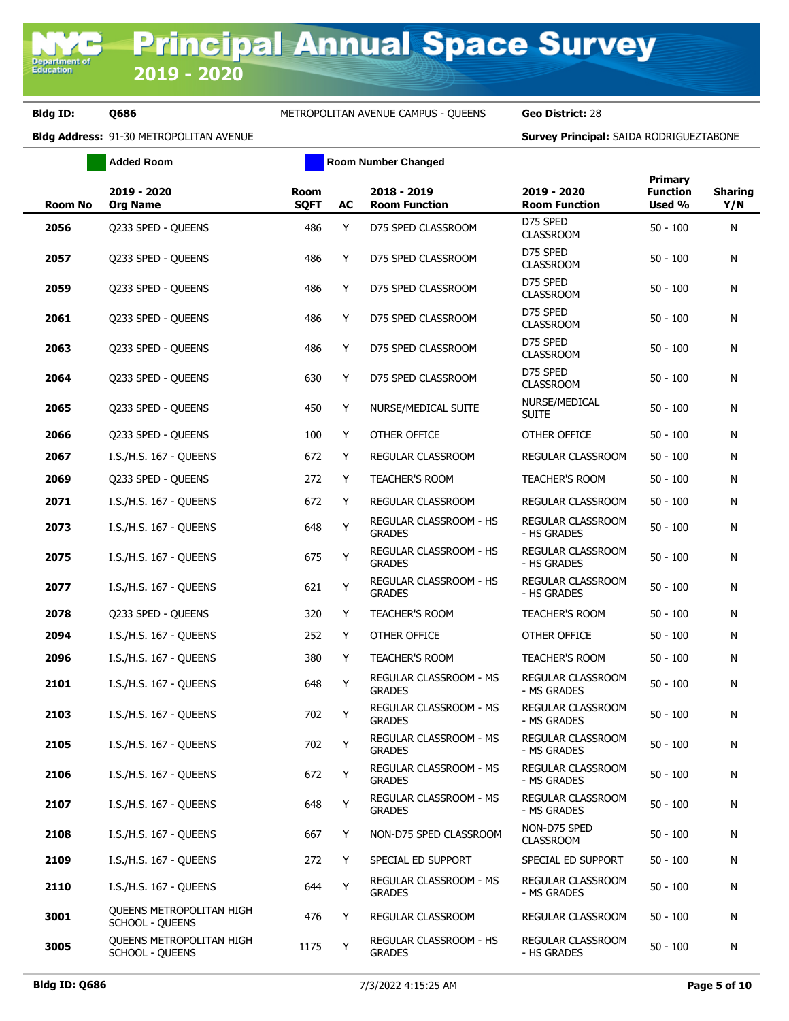|                | <b>Added Room</b>                                         |                            |    | <b>Room Number Changed</b>                     |                                         |                                             |                       |
|----------------|-----------------------------------------------------------|----------------------------|----|------------------------------------------------|-----------------------------------------|---------------------------------------------|-----------------------|
| <b>Room No</b> | 2019 - 2020<br><b>Org Name</b>                            | <b>Room</b><br><b>SQFT</b> | AC | 2018 - 2019<br><b>Room Function</b>            | 2019 - 2020<br><b>Room Function</b>     | <b>Primary</b><br><b>Function</b><br>Used % | <b>Sharing</b><br>Y/N |
| 2056           | Q233 SPED - QUEENS                                        | 486                        | Y  | D75 SPED CLASSROOM                             | D75 SPED<br><b>CLASSROOM</b>            | $50 - 100$                                  | N                     |
| 2057           | Q233 SPED - QUEENS                                        | 486                        | Y  | D75 SPED CLASSROOM                             | D75 SPED<br><b>CLASSROOM</b>            | $50 - 100$                                  | N                     |
| 2059           | Q233 SPED - QUEENS                                        | 486                        | Y  | D75 SPED CLASSROOM                             | D75 SPED<br><b>CLASSROOM</b>            | $50 - 100$                                  | N                     |
| 2061           | Q233 SPED - QUEENS                                        | 486                        | Y  | D75 SPED CLASSROOM                             | D75 SPED<br><b>CLASSROOM</b>            | $50 - 100$                                  | N                     |
| 2063           | Q233 SPED - QUEENS                                        | 486                        | Y  | D75 SPED CLASSROOM                             | D75 SPED<br><b>CLASSROOM</b>            | $50 - 100$                                  | N                     |
| 2064           | Q233 SPED - QUEENS                                        | 630                        | Y  | D75 SPED CLASSROOM                             | D75 SPED<br><b>CLASSROOM</b>            | $50 - 100$                                  | N                     |
| 2065           | Q233 SPED - QUEENS                                        | 450                        | Y  | NURSE/MEDICAL SUITE                            | NURSE/MEDICAL<br><b>SUITE</b>           | $50 - 100$                                  | N                     |
| 2066           | O233 SPED - OUEENS                                        | 100                        | Y  | OTHER OFFICE                                   | OTHER OFFICE                            | $50 - 100$                                  | N                     |
| 2067           | I.S./H.S. 167 - QUEENS                                    | 672                        | Y  | REGULAR CLASSROOM                              | REGULAR CLASSROOM                       | $50 - 100$                                  | N                     |
| 2069           | Q233 SPED - QUEENS                                        | 272                        | Y  | <b>TEACHER'S ROOM</b>                          | <b>TEACHER'S ROOM</b>                   | $50 - 100$                                  | N                     |
| 2071           | I.S./H.S. 167 - OUEENS                                    | 672                        | Y  | REGULAR CLASSROOM                              | <b>REGULAR CLASSROOM</b>                | $50 - 100$                                  | N                     |
| 2073           | I.S./H.S. 167 - QUEENS                                    | 648                        | Y  | REGULAR CLASSROOM - HS<br><b>GRADES</b>        | REGULAR CLASSROOM<br>- HS GRADES        | $50 - 100$                                  | N                     |
| 2075           | I.S./H.S. 167 - QUEENS                                    | 675                        | Υ  | REGULAR CLASSROOM - HS<br><b>GRADES</b>        | REGULAR CLASSROOM<br>- HS GRADES        | $50 - 100$                                  | N                     |
| 2077           | I.S./H.S. 167 - QUEENS                                    | 621                        | Υ  | REGULAR CLASSROOM - HS<br><b>GRADES</b>        | REGULAR CLASSROOM<br>- HS GRADES        | $50 - 100$                                  | N                     |
| 2078           | Q233 SPED - QUEENS                                        | 320                        | Y  | <b>TEACHER'S ROOM</b>                          | <b>TEACHER'S ROOM</b>                   | $50 - 100$                                  | N                     |
| 2094           | I.S./H.S. 167 - QUEENS                                    | 252                        | Y  | OTHER OFFICE                                   | OTHER OFFICE                            | $50 - 100$                                  | N                     |
| 2096           | I.S./H.S. 167 - QUEENS                                    | 380                        | Y  | <b>TEACHER'S ROOM</b>                          | <b>TEACHER'S ROOM</b>                   | $50 - 100$                                  | N                     |
| 2101           | I.S./H.S. 167 - QUEENS                                    | 648                        | Y  | REGULAR CLASSROOM - MS<br><b>GRADES</b>        | REGULAR CLASSROOM<br>- MS GRADES        | $50 - 100$                                  | N                     |
| 2103           | I.S./H.S. 167 - QUEENS                                    | 702                        | Y  | <b>REGULAR CLASSROOM - MS</b><br><b>GRADES</b> | REGULAR CLASSROOM<br>- MS GRADES        | $50 - 100$                                  | N                     |
| 2105           | I.S./H.S. 167 - QUEENS                                    | 702                        | Y  | REGULAR CLASSROOM - MS<br><b>GRADES</b>        | REGULAR CLASSROOM<br>- MS GRADES        | $50 - 100$                                  | N                     |
| 2106           | I.S./H.S. 167 - QUEENS                                    | 672                        | Υ  | REGULAR CLASSROOM - MS<br><b>GRADES</b>        | REGULAR CLASSROOM<br>- MS GRADES        | $50 - 100$                                  | N                     |
| 2107           | I.S./H.S. 167 - QUEENS                                    | 648                        | Υ  | REGULAR CLASSROOM - MS<br><b>GRADES</b>        | REGULAR CLASSROOM<br>- MS GRADES        | $50 - 100$                                  | N                     |
| 2108           | I.S./H.S. 167 - QUEENS                                    | 667                        | Y  | NON-D75 SPED CLASSROOM                         | NON-D75 SPED<br><b>CLASSROOM</b>        | $50 - 100$                                  | N                     |
| 2109           | I.S./H.S. 167 - QUEENS                                    | 272                        | Y  | SPECIAL ED SUPPORT                             | SPECIAL ED SUPPORT                      | $50 - 100$                                  | N                     |
| 2110           | I.S./H.S. 167 - OUEENS                                    | 644                        | Y  | REGULAR CLASSROOM - MS<br><b>GRADES</b>        | <b>REGULAR CLASSROOM</b><br>- MS GRADES | $50 - 100$                                  | N                     |
| 3001           | <b>OUEENS METROPOLITAN HIGH</b><br><b>SCHOOL - QUEENS</b> | 476                        | Y  | REGULAR CLASSROOM                              | REGULAR CLASSROOM                       | $50 - 100$                                  | N                     |
| 3005           | QUEENS METROPOLITAN HIGH<br><b>SCHOOL - QUEENS</b>        | 1175                       | Y  | REGULAR CLASSROOM - HS<br><b>GRADES</b>        | REGULAR CLASSROOM<br>- HS GRADES        | $50 - 100$                                  | N                     |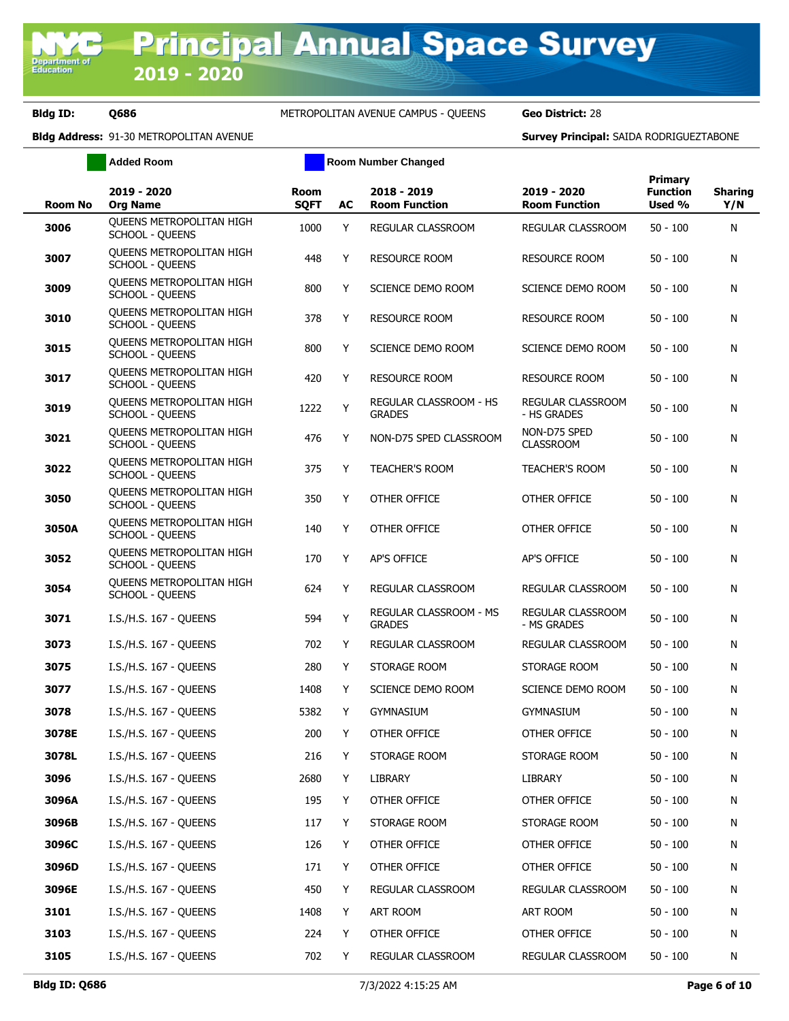# **Bldg ID: Q686** METROPOLITAN AVENUE CAMPUS - QUEENS **Geo District:** 28

|                | <b>Added Room</b>                                         |                            |    | <b>Room Number Changed</b>              |                                     |                                      |                       |
|----------------|-----------------------------------------------------------|----------------------------|----|-----------------------------------------|-------------------------------------|--------------------------------------|-----------------------|
| <b>Room No</b> | 2019 - 2020<br><b>Org Name</b>                            | <b>Room</b><br><b>SQFT</b> | AC | 2018 - 2019<br><b>Room Function</b>     | 2019 - 2020<br><b>Room Function</b> | Primary<br><b>Function</b><br>Used % | <b>Sharing</b><br>Y/N |
| 3006           | <b>OUEENS METROPOLITAN HIGH</b><br><b>SCHOOL - QUEENS</b> | 1000                       | Y  | REGULAR CLASSROOM                       | REGULAR CLASSROOM                   | $50 - 100$                           | N                     |
| 3007           | QUEENS METROPOLITAN HIGH<br><b>SCHOOL - QUEENS</b>        | 448                        | Υ  | <b>RESOURCE ROOM</b>                    | <b>RESOURCE ROOM</b>                | $50 - 100$                           | N                     |
| 3009           | <b>OUEENS METROPOLITAN HIGH</b><br><b>SCHOOL - QUEENS</b> | 800                        | Y  | SCIENCE DEMO ROOM                       | SCIENCE DEMO ROOM                   | $50 - 100$                           | N                     |
| 3010           | QUEENS METROPOLITAN HIGH<br><b>SCHOOL - QUEENS</b>        | 378                        | Y  | <b>RESOURCE ROOM</b>                    | <b>RESOURCE ROOM</b>                | $50 - 100$                           | N                     |
| 3015           | <b>OUEENS METROPOLITAN HIGH</b><br><b>SCHOOL - QUEENS</b> | 800                        | Y  | SCIENCE DEMO ROOM                       | SCIENCE DEMO ROOM                   | $50 - 100$                           | N                     |
| 3017           | QUEENS METROPOLITAN HIGH<br><b>SCHOOL - QUEENS</b>        | 420                        | Y  | <b>RESOURCE ROOM</b>                    | RESOURCE ROOM                       | $50 - 100$                           | N                     |
| 3019           | QUEENS METROPOLITAN HIGH<br><b>SCHOOL - QUEENS</b>        | 1222                       | Υ  | REGULAR CLASSROOM - HS<br><b>GRADES</b> | REGULAR CLASSROOM<br>- HS GRADES    | $50 - 100$                           | N                     |
| 3021           | QUEENS METROPOLITAN HIGH<br><b>SCHOOL - QUEENS</b>        | 476                        | Y  | NON-D75 SPED CLASSROOM                  | NON-D75 SPED<br><b>CLASSROOM</b>    | $50 - 100$                           | N                     |
| 3022           | <b>OUEENS METROPOLITAN HIGH</b><br><b>SCHOOL - QUEENS</b> | 375                        | Y  | <b>TEACHER'S ROOM</b>                   | <b>TEACHER'S ROOM</b>               | $50 - 100$                           | N                     |
| 3050           | QUEENS METROPOLITAN HIGH<br><b>SCHOOL - QUEENS</b>        | 350                        | Y  | OTHER OFFICE                            | OTHER OFFICE                        | $50 - 100$                           | N                     |
| 3050A          | QUEENS METROPOLITAN HIGH<br><b>SCHOOL - QUEENS</b>        | 140                        | Y  | OTHER OFFICE                            | OTHER OFFICE                        | $50 - 100$                           | N                     |
| 3052           | <b>OUEENS METROPOLITAN HIGH</b><br><b>SCHOOL - QUEENS</b> | 170                        | Y  | <b>AP'S OFFICE</b>                      | AP'S OFFICE                         | $50 - 100$                           | N                     |
| 3054           | <b>OUEENS METROPOLITAN HIGH</b><br><b>SCHOOL - QUEENS</b> | 624                        | Y  | REGULAR CLASSROOM                       | REGULAR CLASSROOM                   | $50 - 100$                           | N                     |
| 3071           | I.S./H.S. 167 - QUEENS                                    | 594                        | Υ  | REGULAR CLASSROOM - MS<br><b>GRADES</b> | REGULAR CLASSROOM<br>- MS GRADES    | $50 - 100$                           | N                     |
| 3073           | I.S./H.S. 167 - QUEENS                                    | 702                        | Υ  | REGULAR CLASSROOM                       | REGULAR CLASSROOM                   | $50 - 100$                           | N                     |
| 3075           | I.S./H.S. 167 - QUEENS                                    | 280                        | Y  | STORAGE ROOM                            | STORAGE ROOM                        | $50 - 100$                           | N                     |
| 3077           | I.S./H.S. 167 - QUEENS                                    | 1408                       | Y  | SCIENCE DEMO ROOM                       | SCIENCE DEMO ROOM                   | $50 - 100$                           | N                     |
| 3078           | I.S./H.S. 167 - QUEENS                                    | 5382                       | Y  | <b>GYMNASIUM</b>                        | <b>GYMNASIUM</b>                    | $50 - 100$                           | N                     |
| 3078E          | I.S./H.S. 167 - QUEENS                                    | 200                        | Υ  | OTHER OFFICE                            | OTHER OFFICE                        | $50 - 100$                           | N                     |
| 3078L          | I.S./H.S. 167 - QUEENS                                    | 216                        | Y  | STORAGE ROOM                            | STORAGE ROOM                        | $50 - 100$                           | N                     |
| 3096           | I.S./H.S. 167 - OUEENS                                    | 2680                       | Y  | LIBRARY                                 | LIBRARY                             | $50 - 100$                           | N                     |
| 3096A          | I.S./H.S. 167 - QUEENS                                    | 195                        | Y  | OTHER OFFICE                            | OTHER OFFICE                        | $50 - 100$                           | N                     |
| 3096B          | I.S./H.S. 167 - QUEENS                                    | 117                        | Y  | STORAGE ROOM                            | STORAGE ROOM                        | $50 - 100$                           | N                     |
| 3096C          | I.S./H.S. 167 - OUEENS                                    | 126                        | Y  | OTHER OFFICE                            | OTHER OFFICE                        | $50 - 100$                           | N                     |
| 3096D          | I.S./H.S. 167 - QUEENS                                    | 171                        | Y  | OTHER OFFICE                            | OTHER OFFICE                        | $50 - 100$                           | N                     |
| 3096E          | I.S./H.S. 167 - QUEENS                                    | 450                        | Y  | REGULAR CLASSROOM                       | REGULAR CLASSROOM                   | $50 - 100$                           | N                     |
| 3101           | I.S./H.S. 167 - QUEENS                                    | 1408                       | Y  | ART ROOM                                | ART ROOM                            | $50 - 100$                           | N                     |
| 3103           | I.S./H.S. 167 - QUEENS                                    | 224                        | Y  | OTHER OFFICE                            | OTHER OFFICE                        | $50 - 100$                           | N                     |
| 3105           | I.S./H.S. 167 - QUEENS                                    | 702                        | Y  | REGULAR CLASSROOM                       | REGULAR CLASSROOM                   | $50 - 100$                           | N                     |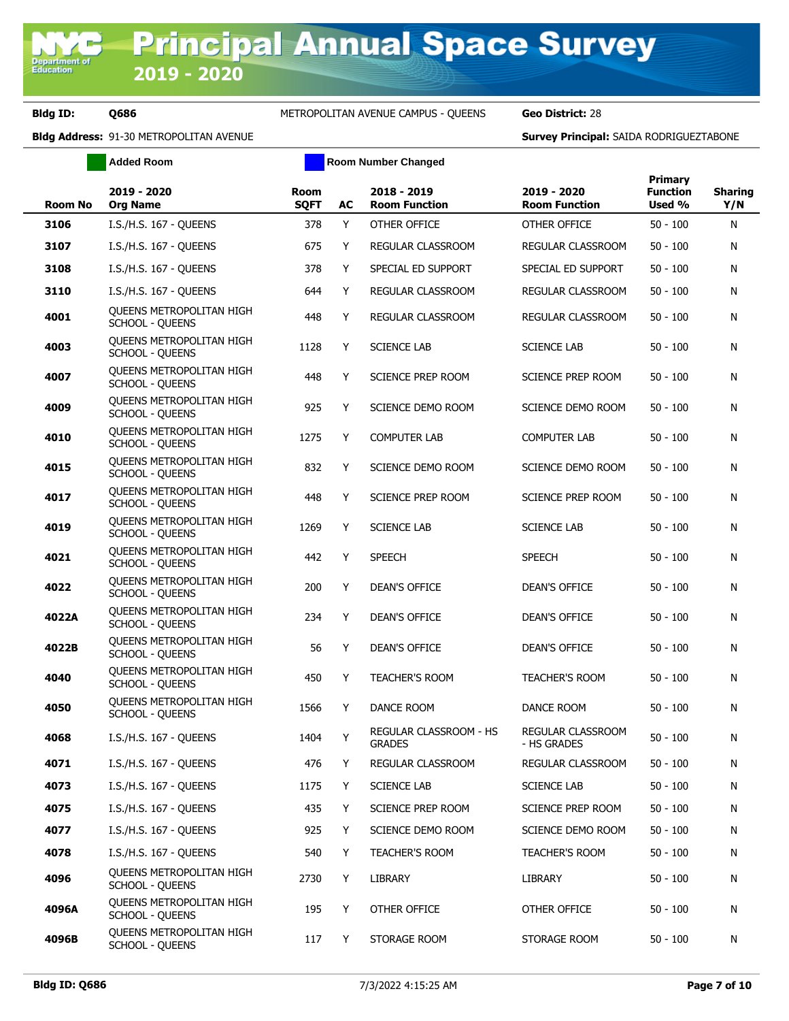|                | <b>Added Room</b>                                         |                     |    | <b>Room Number Changed</b>              |                                     |                                             |                       |
|----------------|-----------------------------------------------------------|---------------------|----|-----------------------------------------|-------------------------------------|---------------------------------------------|-----------------------|
| <b>Room No</b> | 2019 - 2020<br><b>Org Name</b>                            | Room<br><b>SQFT</b> | AC | 2018 - 2019<br><b>Room Function</b>     | 2019 - 2020<br><b>Room Function</b> | <b>Primary</b><br><b>Function</b><br>Used % | <b>Sharing</b><br>Y/N |
| 3106           | I.S./H.S. 167 - QUEENS                                    | 378                 | Y  | OTHER OFFICE                            | OTHER OFFICE                        | $50 - 100$                                  | Ν                     |
| 3107           | I.S./H.S. 167 - QUEENS                                    | 675                 | Y  | REGULAR CLASSROOM                       | REGULAR CLASSROOM                   | $50 - 100$                                  | N                     |
| 3108           | I.S./H.S. 167 - QUEENS                                    | 378                 | Y  | SPECIAL ED SUPPORT                      | SPECIAL ED SUPPORT                  | $50 - 100$                                  | N                     |
| 3110           | I.S./H.S. 167 - QUEENS                                    | 644                 | Y  | REGULAR CLASSROOM                       | <b>REGULAR CLASSROOM</b>            | $50 - 100$                                  | N                     |
| 4001           | <b>OUEENS METROPOLITAN HIGH</b><br><b>SCHOOL - QUEENS</b> | 448                 | Y  | REGULAR CLASSROOM                       | REGULAR CLASSROOM                   | $50 - 100$                                  | Ν                     |
| 4003           | <b>OUEENS METROPOLITAN HIGH</b><br>SCHOOL - QUEENS        | 1128                | Υ  | <b>SCIENCE LAB</b>                      | <b>SCIENCE LAB</b>                  | $50 - 100$                                  | Ν                     |
| 4007           | <b>OUEENS METROPOLITAN HIGH</b><br><b>SCHOOL - QUEENS</b> | 448                 | Y  | <b>SCIENCE PREP ROOM</b>                | SCIENCE PREP ROOM                   | $50 - 100$                                  | Ν                     |
| 4009           | <b>OUEENS METROPOLITAN HIGH</b><br><b>SCHOOL - QUEENS</b> | 925                 | Y  | SCIENCE DEMO ROOM                       | SCIENCE DEMO ROOM                   | $50 - 100$                                  | Ν                     |
| 4010           | <b>OUEENS METROPOLITAN HIGH</b><br><b>SCHOOL - QUEENS</b> | 1275                | Y  | <b>COMPUTER LAB</b>                     | <b>COMPUTER LAB</b>                 | $50 - 100$                                  | Ν                     |
| 4015           | <b>OUEENS METROPOLITAN HIGH</b><br><b>SCHOOL - QUEENS</b> | 832                 | Y  | SCIENCE DEMO ROOM                       | SCIENCE DEMO ROOM                   | $50 - 100$                                  | Ν                     |
| 4017           | <b>OUEENS METROPOLITAN HIGH</b><br><b>SCHOOL - QUEENS</b> | 448                 | Y  | <b>SCIENCE PREP ROOM</b>                | SCIENCE PREP ROOM                   | $50 - 100$                                  | N                     |
| 4019           | <b>OUEENS METROPOLITAN HIGH</b><br><b>SCHOOL - QUEENS</b> | 1269                | Y  | <b>SCIENCE LAB</b>                      | <b>SCIENCE LAB</b>                  | $50 - 100$                                  | N                     |
| 4021           | <b>OUEENS METROPOLITAN HIGH</b><br><b>SCHOOL - QUEENS</b> | 442                 | Y  | <b>SPEECH</b>                           | <b>SPEECH</b>                       | $50 - 100$                                  | N                     |
| 4022           | <b>OUEENS METROPOLITAN HIGH</b><br><b>SCHOOL - QUEENS</b> | 200                 | Y  | DEAN'S OFFICE                           | <b>DEAN'S OFFICE</b>                | $50 - 100$                                  | Ν                     |
| 4022A          | <b>OUEENS METROPOLITAN HIGH</b><br><b>SCHOOL - QUEENS</b> | 234                 | Y  | <b>DEAN'S OFFICE</b>                    | <b>DEAN'S OFFICE</b>                | $50 - 100$                                  | Ν                     |
| 4022B          | <b>OUEENS METROPOLITAN HIGH</b><br><b>SCHOOL - QUEENS</b> | 56                  | Y  | <b>DEAN'S OFFICE</b>                    | <b>DEAN'S OFFICE</b>                | $50 - 100$                                  | Ν                     |
| 4040           | <b>OUEENS METROPOLITAN HIGH</b><br><b>SCHOOL - QUEENS</b> | 450                 | Y  | <b>TEACHER'S ROOM</b>                   | <b>TEACHER'S ROOM</b>               | $50 - 100$                                  | Ν                     |
| 4050           | <b>OUEENS METROPOLITAN HIGH</b><br>SCHOOL - QUEENS        | 1566                | Y  | DANCE ROOM                              | DANCE ROOM                          | $50 - 100$                                  | Ν                     |
| 4068           | I.S./H.S. 167 - QUEENS                                    | 1404                |    | REGULAR CLASSROOM - HS<br><b>GRADES</b> | REGULAR CLASSROOM<br>- HS GRADES    | $50 - 100$                                  | Ν                     |
| 4071           | I.S./H.S. 167 - QUEENS                                    | 476                 | Y  | REGULAR CLASSROOM                       | REGULAR CLASSROOM                   | $50 - 100$                                  | N                     |
| 4073           | I.S./H.S. 167 - QUEENS                                    | 1175                | Y  | <b>SCIENCE LAB</b>                      | <b>SCIENCE LAB</b>                  | $50 - 100$                                  | Ν                     |
| 4075           | I.S./H.S. 167 - QUEENS                                    | 435                 | Y  | SCIENCE PREP ROOM                       | SCIENCE PREP ROOM                   | $50 - 100$                                  | N                     |
| 4077           | I.S./H.S. 167 - QUEENS                                    | 925                 | Y  | SCIENCE DEMO ROOM                       | SCIENCE DEMO ROOM                   | $50 - 100$                                  | Ν                     |
| 4078           | I.S./H.S. 167 - QUEENS                                    | 540                 | Y  | <b>TEACHER'S ROOM</b>                   | <b>TEACHER'S ROOM</b>               | $50 - 100$                                  | N                     |
| 4096           | QUEENS METROPOLITAN HIGH<br><b>SCHOOL - QUEENS</b>        | 2730                | Y  | LIBRARY                                 | LIBRARY                             | $50 - 100$                                  | Ν                     |
| 4096A          | <b>OUEENS METROPOLITAN HIGH</b><br><b>SCHOOL - QUEENS</b> | 195                 | Y  | OTHER OFFICE                            | OTHER OFFICE                        | $50 - 100$                                  | Ν                     |
| 4096B          | <b>OUEENS METROPOLITAN HIGH</b><br><b>SCHOOL - QUEENS</b> | 117                 | Y  | STORAGE ROOM                            | STORAGE ROOM                        | $50 - 100$                                  | N                     |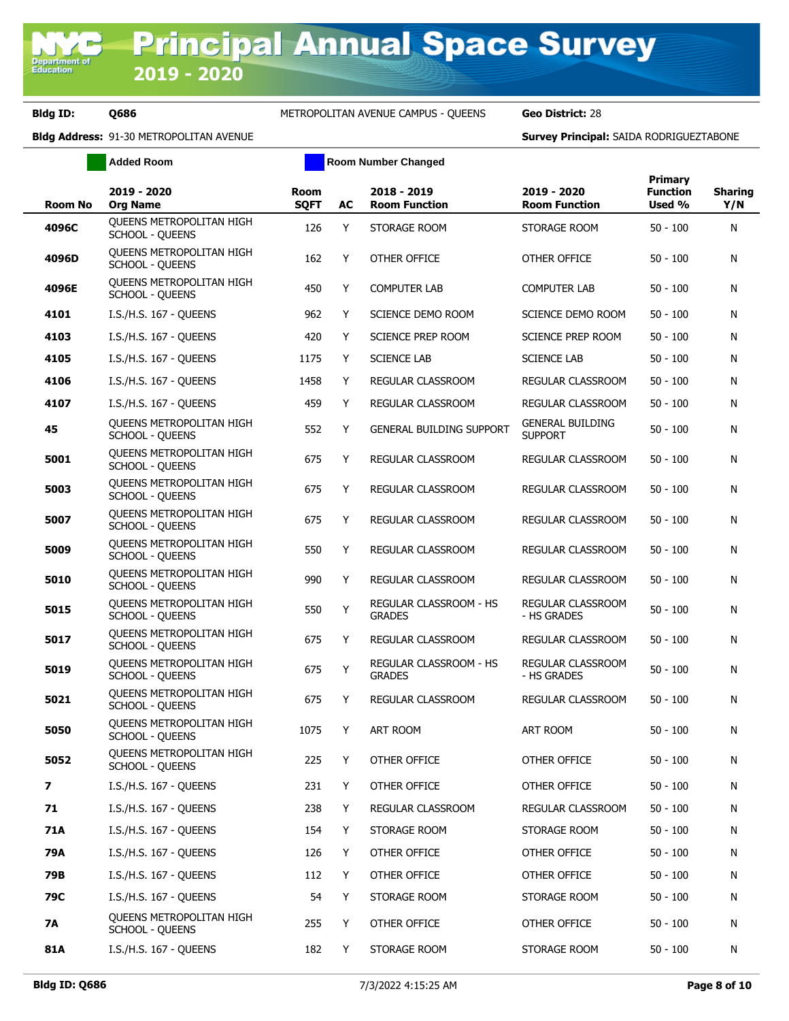# **Bldg ID: Q686** METROPOLITAN AVENUE CAMPUS - QUEENS **Geo District:** 28

|                          | <b>Added Room</b>                                         |                            |    | <b>Room Number Changed</b>              |                                           |                                             |                       |
|--------------------------|-----------------------------------------------------------|----------------------------|----|-----------------------------------------|-------------------------------------------|---------------------------------------------|-----------------------|
| <b>Room No</b>           | 2019 - 2020<br><b>Org Name</b>                            | <b>Room</b><br><b>SQFT</b> | AC | 2018 - 2019<br><b>Room Function</b>     | 2019 - 2020<br><b>Room Function</b>       | <b>Primary</b><br><b>Function</b><br>Used % | <b>Sharing</b><br>Y/N |
| 4096C                    | <b>OUEENS METROPOLITAN HIGH</b><br><b>SCHOOL - QUEENS</b> | 126                        | Y  | STORAGE ROOM                            | STORAGE ROOM                              | $50 - 100$                                  | N                     |
| 4096D                    | QUEENS METROPOLITAN HIGH<br><b>SCHOOL - QUEENS</b>        | 162                        | Y  | OTHER OFFICE                            | OTHER OFFICE                              | $50 - 100$                                  | Ν                     |
| 4096E                    | <b>OUEENS METROPOLITAN HIGH</b><br><b>SCHOOL - QUEENS</b> | 450                        | Y  | <b>COMPUTER LAB</b>                     | <b>COMPUTER LAB</b>                       | $50 - 100$                                  | N                     |
| 4101                     | I.S./H.S. 167 - QUEENS                                    | 962                        | Y  | SCIENCE DEMO ROOM                       | SCIENCE DEMO ROOM                         | $50 - 100$                                  | N                     |
| 4103                     | I.S./H.S. 167 - QUEENS                                    | 420                        | Y  | SCIENCE PREP ROOM                       | SCIENCE PREP ROOM                         | $50 - 100$                                  | N                     |
| 4105                     | I.S./H.S. 167 - QUEENS                                    | 1175                       | Y  | <b>SCIENCE LAB</b>                      | <b>SCIENCE LAB</b>                        | $50 - 100$                                  | N                     |
| 4106                     | I.S./H.S. 167 - QUEENS                                    | 1458                       | Y  | REGULAR CLASSROOM                       | REGULAR CLASSROOM                         | $50 - 100$                                  | Ν                     |
| 4107                     | I.S./H.S. 167 - QUEENS                                    | 459                        | Y  | REGULAR CLASSROOM                       | REGULAR CLASSROOM                         | $50 - 100$                                  | N                     |
| 45                       | <b>OUEENS METROPOLITAN HIGH</b><br><b>SCHOOL - QUEENS</b> | 552                        | Y  | <b>GENERAL BUILDING SUPPORT</b>         | <b>GENERAL BUILDING</b><br><b>SUPPORT</b> | $50 - 100$                                  | N                     |
| 5001                     | QUEENS METROPOLITAN HIGH<br><b>SCHOOL - QUEENS</b>        | 675                        | Y  | REGULAR CLASSROOM                       | REGULAR CLASSROOM                         | $50 - 100$                                  | N                     |
| 5003                     | <b>OUEENS METROPOLITAN HIGH</b><br><b>SCHOOL - QUEENS</b> | 675                        | Y  | <b>REGULAR CLASSROOM</b>                | <b>REGULAR CLASSROOM</b>                  | $50 - 100$                                  | N                     |
| 5007                     | QUEENS METROPOLITAN HIGH<br><b>SCHOOL - QUEENS</b>        | 675                        | Y  | REGULAR CLASSROOM                       | REGULAR CLASSROOM                         | $50 - 100$                                  | N                     |
| 5009                     | <b>OUEENS METROPOLITAN HIGH</b><br><b>SCHOOL - QUEENS</b> | 550                        | Y  | REGULAR CLASSROOM                       | REGULAR CLASSROOM                         | $50 - 100$                                  | N                     |
| 5010                     | QUEENS METROPOLITAN HIGH<br><b>SCHOOL - QUEENS</b>        | 990                        | Y  | REGULAR CLASSROOM                       | REGULAR CLASSROOM                         | $50 - 100$                                  | N                     |
| 5015                     | QUEENS METROPOLITAN HIGH<br><b>SCHOOL - QUEENS</b>        | 550                        | Υ  | REGULAR CLASSROOM - HS<br><b>GRADES</b> | REGULAR CLASSROOM<br>- HS GRADES          | $50 - 100$                                  | N                     |
| 5017                     | QUEENS METROPOLITAN HIGH<br><b>SCHOOL - QUEENS</b>        | 675                        | Y  | REGULAR CLASSROOM                       | REGULAR CLASSROOM                         | $50 - 100$                                  | Ν                     |
| 5019                     | QUEENS METROPOLITAN HIGH<br><b>SCHOOL - QUEENS</b>        | 675                        | Y  | REGULAR CLASSROOM - HS<br><b>GRADES</b> | REGULAR CLASSROOM<br>- HS GRADES          | $50 - 100$                                  | N                     |
| 5021                     | QUEENS METROPOLITAN HIGH<br><b>SCHOOL - QUEENS</b>        | 675                        | Y  | <b>REGULAR CLASSROOM</b>                | REGULAR CLASSROOM                         | $50 - 100$                                  | Ν                     |
| 5050                     | <b>OUEENS METROPOLITAN HIGH</b><br>SCHOOL - QUEENS        | 1075                       | Y  | ART ROOM                                | ART ROOM                                  | $50 - 100$                                  | N                     |
| 5052                     | QUEENS METROPOLITAN HIGH<br><b>SCHOOL - QUEENS</b>        | 225                        | Y  | OTHER OFFICE                            | OTHER OFFICE                              | $50 - 100$                                  | N                     |
| $\overline{\phantom{a}}$ | I.S./H.S. 167 - QUEENS                                    | 231                        | Y  | OTHER OFFICE                            | OTHER OFFICE                              | $50 - 100$                                  | Ν                     |
| 71                       | I.S./H.S. 167 - QUEENS                                    | 238                        | Y  | REGULAR CLASSROOM                       | REGULAR CLASSROOM                         | $50 - 100$                                  | N                     |
| <b>71A</b>               | I.S./H.S. 167 - QUEENS                                    | 154                        | Y  | STORAGE ROOM                            | STORAGE ROOM                              | $50 - 100$                                  | Ν                     |
| 79A                      | I.S./H.S. 167 - QUEENS                                    | 126                        | Y  | OTHER OFFICE                            | OTHER OFFICE                              | $50 - 100$                                  | N                     |
| 79B                      | I.S./H.S. 167 - QUEENS                                    | 112                        | Y  | OTHER OFFICE                            | OTHER OFFICE                              | $50 - 100$                                  | Ν                     |
| 79C                      | I.S./H.S. 167 - QUEENS                                    | 54                         | Y  | STORAGE ROOM                            | STORAGE ROOM                              | $50 - 100$                                  | Ν                     |
| <b>7A</b>                | QUEENS METROPOLITAN HIGH<br><b>SCHOOL - QUEENS</b>        | 255                        | Y  | OTHER OFFICE                            | OTHER OFFICE                              | $50 - 100$                                  | Ν                     |
| <b>81A</b>               | I.S./H.S. 167 - QUEENS                                    | 182                        | Y  | STORAGE ROOM                            | STORAGE ROOM                              | $50 - 100$                                  | Ν                     |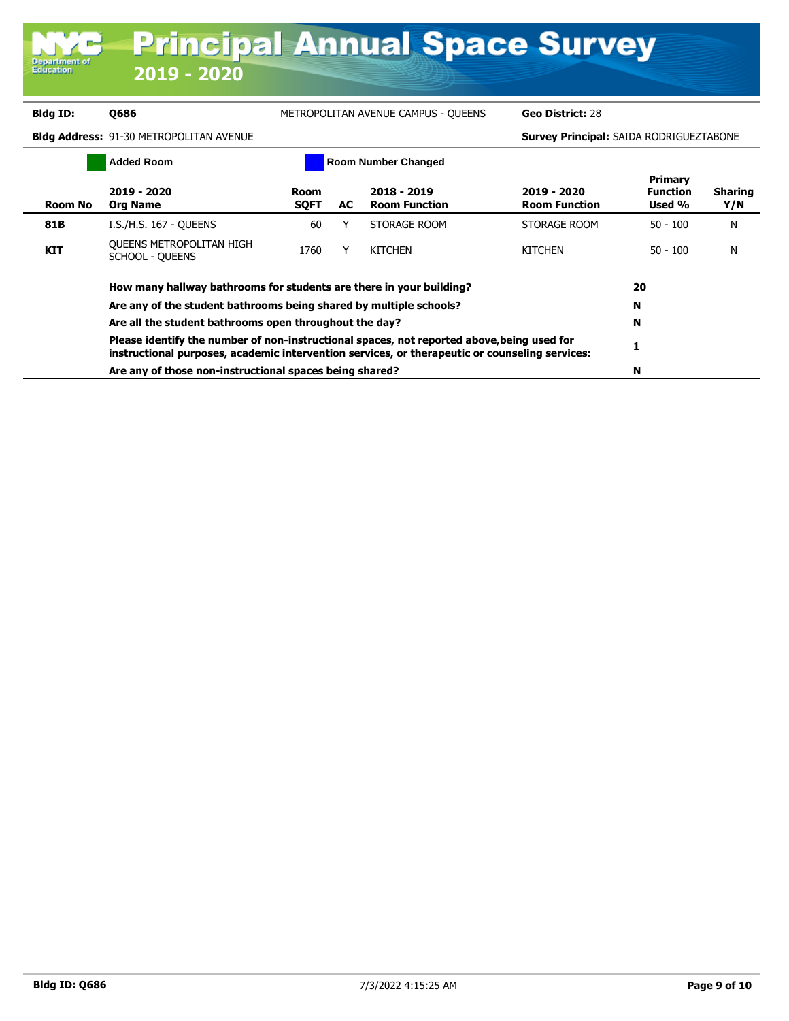| <b>Department of</b><br><b>Education</b> | $2019 - 2020$                                                                                                                                                                                |                            |    | <b>Principal Annual Space Survey</b> |                                                |                                      |                       |
|------------------------------------------|----------------------------------------------------------------------------------------------------------------------------------------------------------------------------------------------|----------------------------|----|--------------------------------------|------------------------------------------------|--------------------------------------|-----------------------|
| Bldg ID:                                 | <b>Q686</b>                                                                                                                                                                                  |                            |    | METROPOLITAN AVENUE CAMPUS - QUEENS  | Geo District: 28                               |                                      |                       |
|                                          | <b>Bldg Address: 91-30 METROPOLITAN AVENUE</b>                                                                                                                                               |                            |    |                                      | <b>Survey Principal: SAIDA RODRIGUEZTABONE</b> |                                      |                       |
|                                          | <b>Added Room</b>                                                                                                                                                                            |                            |    | <b>Room Number Changed</b>           |                                                |                                      |                       |
| <b>Room No</b>                           | 2019 - 2020<br><b>Org Name</b>                                                                                                                                                               | <b>Room</b><br><b>SQFT</b> | AC | 2018 - 2019<br><b>Room Function</b>  | 2019 - 2020<br><b>Room Function</b>            | Primary<br><b>Function</b><br>Used % | <b>Sharing</b><br>Y/N |
| 81B                                      | I.S./H.S. 167 - OUEENS                                                                                                                                                                       | 60                         | Υ  | STORAGE ROOM                         | STORAGE ROOM                                   | $50 - 100$                           | N                     |
| <b>KIT</b>                               | QUEENS METROPOLITAN HIGH<br><b>SCHOOL - QUEENS</b>                                                                                                                                           | 1760                       | Y  | <b>KITCHEN</b>                       | <b>KITCHEN</b>                                 | $50 - 100$                           | N                     |
|                                          | How many hallway bathrooms for students are there in your building?                                                                                                                          |                            |    |                                      |                                                | 20                                   |                       |
|                                          | Are any of the student bathrooms being shared by multiple schools?                                                                                                                           |                            |    |                                      |                                                | N                                    |                       |
|                                          | Are all the student bathrooms open throughout the day?                                                                                                                                       |                            |    |                                      |                                                | N                                    |                       |
|                                          | Please identify the number of non-instructional spaces, not reported above, being used for<br>instructional purposes, academic intervention services, or therapeutic or counseling services: |                            |    |                                      |                                                | 1                                    |                       |
|                                          | Are any of those non-instructional spaces being shared?                                                                                                                                      |                            |    |                                      |                                                | N                                    |                       |